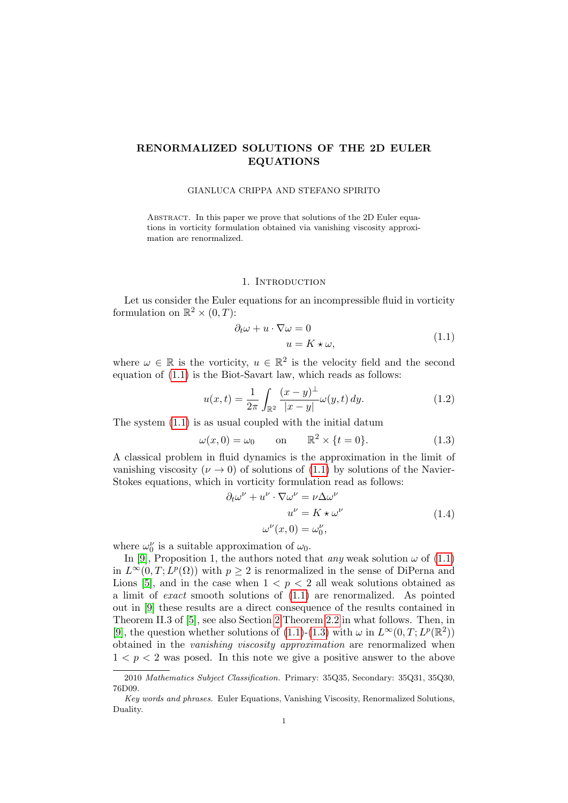# RENORMALIZED SOLUTIONS OF THE 2D EULER EQUATIONS

### GIANLUCA CRIPPA AND STEFANO SPIRITO

ABSTRACT. In this paper we prove that solutions of the 2D Euler equations in vorticity formulation obtained via vanishing viscosity approximation are renormalized.

## 1. Introduction

Let us consider the Euler equations for an incompressible fluid in vorticity formulation on  $\mathbb{R}^2 \times (0,T)$ :

<span id="page-0-0"></span>
$$
\partial_t \omega + u \cdot \nabla \omega = 0
$$
  
 
$$
u = K \star \omega,
$$
 (1.1)

where  $\omega \in \mathbb{R}$  is the vorticity,  $u \in \mathbb{R}^2$  is the velocity field and the second equation of [\(1.1\)](#page-0-0) is the Biot-Savart law, which reads as follows:

$$
u(x,t) = \frac{1}{2\pi} \int_{\mathbb{R}^2} \frac{(x-y)^{\perp}}{|x-y|} \omega(y,t) \, dy. \tag{1.2}
$$

The system [\(1.1\)](#page-0-0) is as usual coupled with the initial datum

<span id="page-0-1"></span>
$$
\omega(x,0) = \omega_0 \qquad \text{on} \qquad \mathbb{R}^2 \times \{t = 0\}. \tag{1.3}
$$

A classical problem in fluid dynamics is the approximation in the limit of vanishing viscosity ( $\nu \rightarrow 0$ ) of solutions of [\(1.1\)](#page-0-0) by solutions of the Navier-Stokes equations, which in vorticity formulation read as follows:

<span id="page-0-2"></span>
$$
\partial_t \omega^{\nu} + u^{\nu} \cdot \nabla \omega^{\nu} = \nu \Delta \omega^{\nu}
$$
  

$$
u^{\nu} = K \star \omega^{\nu}
$$
  

$$
\omega^{\nu}(x, 0) = \omega_0^{\nu},
$$
 (1.4)

where  $\omega_0^{\nu}$  is a suitable approximation of  $\omega_0$ .

In [\[9\]](#page-7-0), Proposition 1, the authors noted that *any* weak solution  $\omega$  of [\(1.1\)](#page-0-0) in  $L^{\infty}(0,T; L^p(\Omega))$  with  $p \geq 2$  is renormalized in the sense of DiPerna and Lions [\[5\]](#page-7-1), and in the case when  $1 < p < 2$  all weak solutions obtained as a limit of exact smooth solutions of [\(1.1\)](#page-0-0) are renormalized. As pointed out in [\[9\]](#page-7-0) these results are a direct consequence of the results contained in Theorem II.3 of [\[5\]](#page-7-1), see also Section [2](#page-2-0) Theorem [2.2](#page-2-1) in what follows. Then, in [\[9\]](#page-7-0), the question whether solutions of [\(1.1\)](#page-0-0)-[\(1.3\)](#page-0-1) with  $\omega$  in  $L^{\infty}(0,T; L^p(\mathbb{R}^2))$ obtained in the vanishing viscosity approximation are renormalized when  $1 < p < 2$  was posed. In this note we give a positive answer to the above

<sup>2010</sup> Mathematics Subject Classification. Primary: 35Q35, Secondary: 35Q31, 35Q30, 76D09.

Key words and phrases. Euler Equations, Vanishing Viscosity, Renormalized Solutions, Duality.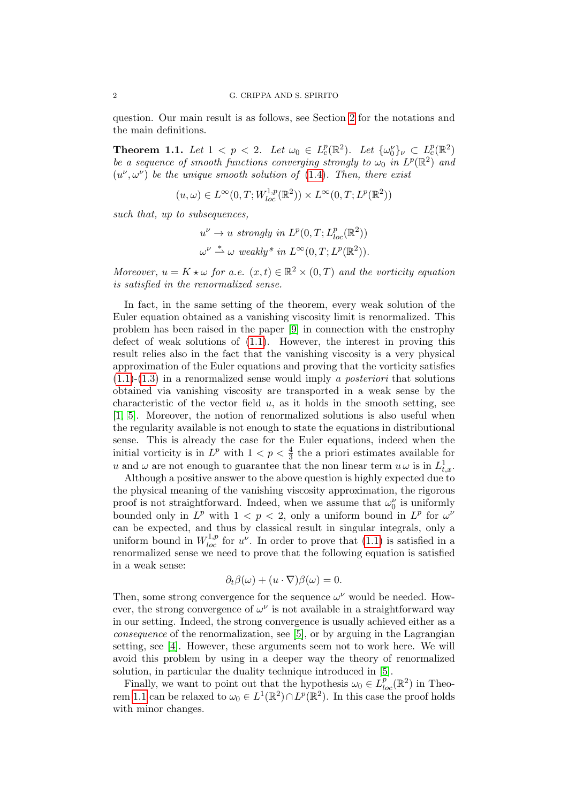question. Our main result is as follows, see Section [2](#page-2-0) for the notations and the main definitions.

<span id="page-1-0"></span>**Theorem 1.1.** Let  $1 < p < 2$ . Let  $\omega_0 \in L_c^p(\mathbb{R}^2)$ . Let  $\{\omega_0\}_{\nu} \subset L_c^p(\mathbb{R}^2)$ be a sequence of smooth functions converging strongly to  $\omega_0$  in  $L^p(\mathbb{R}^2)$  and  $(u^{\nu}, \omega^{\nu})$  be the unique smooth solution of [\(1.4\)](#page-0-2). Then, there exist

$$
(u,\omega) \in L^{\infty}(0,T;W_{loc}^{1,p}(\mathbb{R}^2)) \times L^{\infty}(0,T;L^p(\mathbb{R}^2))
$$

such that, up to subsequences,

$$
u^{\nu} \to u \text{ strongly in } L^{p}(0,T; L^{p}_{loc}(\mathbb{R}^{2}))
$$
  

$$
\omega^{\nu} \stackrel{*}{\rightharpoonup} \omega \text{ weakly* in } L^{\infty}(0,T; L^{p}(\mathbb{R}^{2})).
$$

Moreover,  $u = K \star \omega$  for a.e.  $(x, t) \in \mathbb{R}^2 \times (0, T)$  and the vorticity equation is satisfied in the renormalized sense.

In fact, in the same setting of the theorem, every weak solution of the Euler equation obtained as a vanishing viscosity limit is renormalized. This problem has been raised in the paper [\[9\]](#page-7-0) in connection with the enstrophy defect of weak solutions of [\(1.1\)](#page-0-0). However, the interest in proving this result relies also in the fact that the vanishing viscosity is a very physical approximation of the Euler equations and proving that the vorticity satisfies  $(1.1)-(1.3)$  $(1.1)-(1.3)$  $(1.1)-(1.3)$  in a renormalized sense would imply a *posteriori* that solutions obtained via vanishing viscosity are transported in a weak sense by the characteristic of the vector field  $u$ , as it holds in the smooth setting, see [\[1,](#page-6-0) [5\]](#page-7-1). Moreover, the notion of renormalized solutions is also useful when the regularity available is not enough to state the equations in distributional sense. This is already the case for the Euler equations, indeed when the initial vorticity is in  $L^p$  with  $1 < p < \frac{4}{3}$  the a priori estimates available for u and  $\omega$  are not enough to guarantee that the non linear term  $u \omega$  is in  $L^1_{t,x}$ .

Although a positive answer to the above question is highly expected due to the physical meaning of the vanishing viscosity approximation, the rigorous proof is not straightforward. Indeed, when we assume that  $\omega_0^{\nu}$  is uniformly bounded only in  $L^p$  with  $1 < p < 2$ , only a uniform bound in  $L^p$  for  $\omega^{\nu}$ can be expected, and thus by classical result in singular integrals, only a uniform bound in  $W_{loc}^{1,p}$  for  $u^{\nu}$ . In order to prove that [\(1.1\)](#page-0-0) is satisfied in a renormalized sense we need to prove that the following equation is satisfied in a weak sense:

$$
\partial_t \beta(\omega) + (u \cdot \nabla)\beta(\omega) = 0.
$$

Then, some strong convergence for the sequence  $\omega^{\nu}$  would be needed. However, the strong convergence of  $\omega^{\nu}$  is not available in a straightforward way in our setting. Indeed, the strong convergence is usually achieved either as a consequence of the renormalization, see [\[5\]](#page-7-1), or by arguing in the Lagrangian setting, see [\[4\]](#page-6-1). However, these arguments seem not to work here. We will avoid this problem by using in a deeper way the theory of renormalized solution, in particular the duality technique introduced in [\[5\]](#page-7-1).

Finally, we want to point out that the hypothesis  $\omega_0 \in L_{loc}^{p^*}(\mathbb{R}^2)$  in Theo-rem [1.1](#page-1-0) can be relaxed to  $\omega_0 \in L^1(\mathbb{R}^2) \cap L^p(\mathbb{R}^2)$ . In this case the proof holds with minor changes.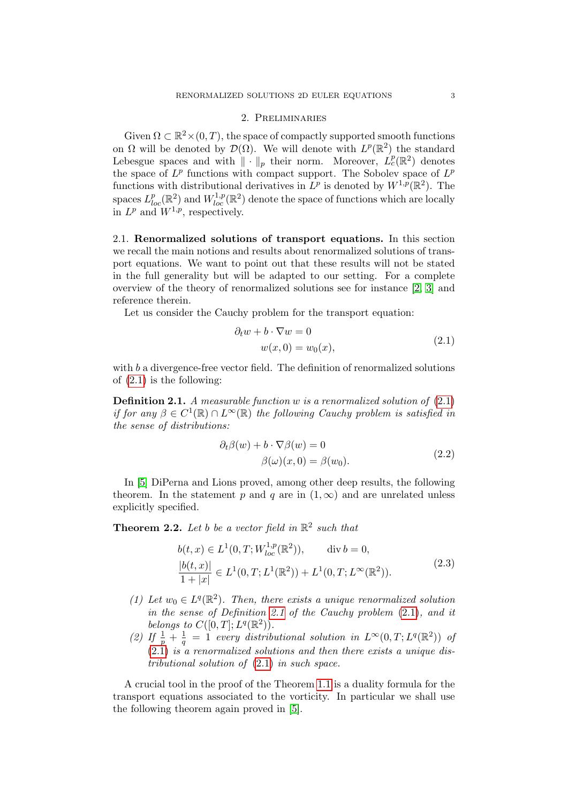#### 2. Preliminaries

<span id="page-2-0"></span>Given  $\Omega \subset \mathbb{R}^2 \times (0,T)$ , the space of compactly supported smooth functions on  $\Omega$  will be denoted by  $\mathcal{D}(\Omega)$ . We will denote with  $L^p(\mathbb{R}^2)$  the standard Lebesgue spaces and with  $\|\cdot\|_p$  their norm. Moreover,  $L_c^p(\mathbb{R}^2)$  denotes the space of  $L^p$  functions with compact support. The Sobolev space of  $L^p$ functions with distributional derivatives in  $L^p$  is denoted by  $W^{1,p}(\mathbb{R}^2)$ . The spaces  $L_{loc}^p(\mathbb{R}^2)$  and  $W_{loc}^{1,p}(\mathbb{R}^2)$  denote the space of functions which are locally in  $L^p$  and  $W^{1,p}$ , respectively.

2.1. Renormalized solutions of transport equations. In this section we recall the main notions and results about renormalized solutions of transport equations. We want to point out that these results will not be stated in the full generality but will be adapted to our setting. For a complete overview of the theory of renormalized solutions see for instance [\[2,](#page-6-2) [3\]](#page-6-3) and reference therein.

Let us consider the Cauchy problem for the transport equation:

<span id="page-2-2"></span>
$$
\partial_t w + b \cdot \nabla w = 0
$$
  

$$
w(x, 0) = w_0(x),
$$
 (2.1)

with b a divergence-free vector field. The definition of renormalized solutions of [\(2.1\)](#page-2-2) is the following:

<span id="page-2-3"></span>**Definition 2.1.** A measurable function w is a renormalized solution of  $(2.1)$ if for any  $\beta \in C^1(\mathbb{R}) \cap L^{\infty}(\mathbb{R})$  the following Cauchy problem is satisfied in the sense of distributions:

$$
\partial_t \beta(w) + b \cdot \nabla \beta(w) = 0
$$
  
 
$$
\beta(\omega)(x, 0) = \beta(w_0).
$$
 (2.2)

In [\[5\]](#page-7-1) DiPerna and Lions proved, among other deep results, the following theorem. In the statement p and q are in  $(1,\infty)$  and are unrelated unless explicitly specified.

<span id="page-2-1"></span>**Theorem 2.2.** Let b be a vector field in  $\mathbb{R}^2$  such that

<span id="page-2-4"></span>
$$
b(t,x) \in L^{1}(0,T;W_{loc}^{1,p}(\mathbb{R}^{2})), \quad \text{div } b = 0,
$$
  
\n
$$
\frac{|b(t,x)|}{1+|x|} \in L^{1}(0,T;L^{1}(\mathbb{R}^{2})) + L^{1}(0,T;L^{\infty}(\mathbb{R}^{2})).
$$
\n(2.3)

- (1) Let  $w_0 \in L^q(\mathbb{R}^2)$ . Then, there exists a unique renormalized solution in the sense of Definition [2.1](#page-2-3) of the Cauchy problem [\(2.1\)](#page-2-2), and it belongs to  $C([0,T];L^q(\mathbb{R}^2))$ .
- (2) If  $\frac{1}{p} + \frac{1}{q}$  $\frac{1}{q} = 1$  every distributional solution in  $L^{\infty}(0,T; L^{q}(\mathbb{R}^{2}))$  of [\(2.1\)](#page-2-2) is a renormalized solutions and then there exists a unique distributional solution of [\(2.1\)](#page-2-2) in such space.

A crucial tool in the proof of the Theorem [1.1](#page-1-0) is a duality formula for the transport equations associated to the vorticity. In particular we shall use the following theorem again proved in [\[5\]](#page-7-1).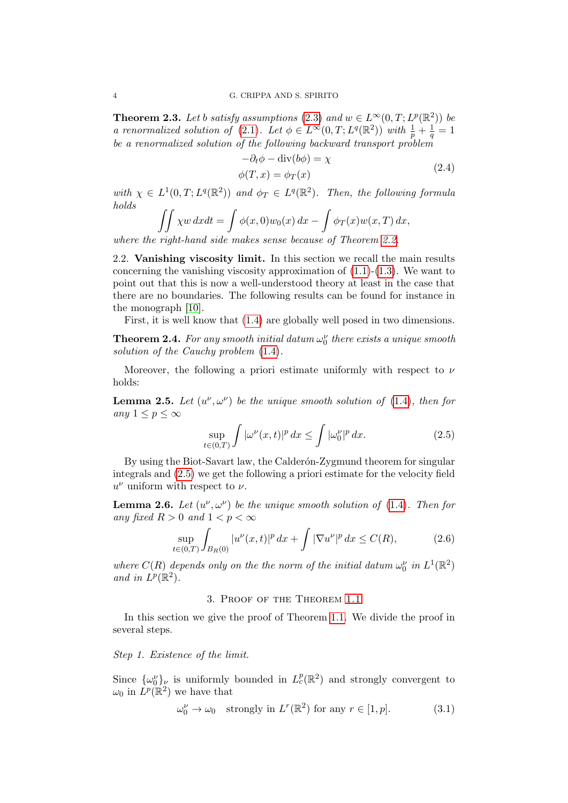<span id="page-3-6"></span>**Theorem 2.3.** Let b satisfy assumptions [\(2.3\)](#page-2-4) and  $w \in L^{\infty}(0,T; L^{p}(\mathbb{R}^{2}))$  be a renormalized solution of [\(2.1\)](#page-2-2). Let  $\phi \in L^{\infty}(0,T; L^{q}(\mathbb{R}^2))$  with  $\frac{1}{p} + \frac{1}{q}$  $\frac{1}{q}=1$ be a renormalized solution of the following backward transport problem

<span id="page-3-4"></span>
$$
-\partial_t \phi - \text{div}(b\phi) = \chi
$$
  
\n
$$
\phi(T, x) = \phi_T(x)
$$
\n(2.4)

with  $\chi \in L^1(0,T;L^q(\mathbb{R}^2))$  and  $\phi_T \in L^q(\mathbb{R}^2)$ . Then, the following formula holds

$$
\iint \chi w \, dxdt = \int \phi(x,0)w_0(x) \, dx - \int \phi_T(x)w(x,T) \, dx,
$$
  
right-hand side makes sense because of Theorem 2.2

where the right-hand side makes sense because of Theorem [2.2.](#page-2-1)

2.2. Vanishing viscosity limit. In this section we recall the main results concerning the vanishing viscosity approximation of  $(1.1)-(1.3)$  $(1.1)-(1.3)$  $(1.1)-(1.3)$ . We want to point out that this is now a well-understood theory at least in the case that there are no boundaries. The following results can be found for instance in the monograph [\[10\]](#page-7-2).

First, it is well know that [\(1.4\)](#page-0-2) are globally well posed in two dimensions.

<span id="page-3-1"></span>**Theorem 2.4.** For any smooth initial datum  $\omega_0^{\nu}$  there exists a unique smooth solution of the Cauchy problem [\(1.4\)](#page-0-2).

Moreover, the following a priori estimate uniformly with respect to  $\nu$ holds:

<span id="page-3-2"></span>**Lemma 2.5.** Let  $(u^{\nu}, \omega^{\nu})$  be the unique smooth solution of [\(1.4\)](#page-0-2), then for any  $1 \leq p \leq \infty$ 

<span id="page-3-0"></span>
$$
\sup_{t\in(0,T)}\int |\omega^{\nu}(x,t)|^p dx \le \int |\omega_0^{\nu}|^p dx. \tag{2.5}
$$

By using the Biot-Savart law, the Calderón-Zygmund theorem for singular integrals and [\(2.5\)](#page-3-0) we get the following a priori estimate for the velocity field  $u^{\nu}$  uniform with respect to  $\nu$ .

<span id="page-3-3"></span>**Lemma 2.6.** Let  $(u^{\nu}, \omega^{\nu})$  be the unique smooth solution of [\(1.4\)](#page-0-2). Then for any fixed  $R > 0$  and  $1 < p < \infty$ 

$$
\sup_{t \in (0,T)} \int_{B_R(0)} |u^{\nu}(x,t)|^p \, dx + \int |\nabla u^{\nu}|^p \, dx \le C(R),\tag{2.6}
$$

where  $C(R)$  depends only on the the norm of the initial datum  $\omega_0^{\nu}$  in  $L^1(\mathbb{R}^2)$ and in  $L^p(\mathbb{R}^2)$ .

## 3. Proof of the Theorem [1.1](#page-1-0)

In this section we give the proof of Theorem [1.1.](#page-1-0) We divide the proof in several steps.

Step 1. Existence of the limit.

Since  $\{\omega_0^{\nu}\}_\nu$  is uniformly bounded in  $L^p_c(\mathbb{R}^2)$  and strongly convergent to  $\omega_0$  in  $\dot{L}^p(\mathbb{R}^2)$  we have that

<span id="page-3-5"></span>
$$
\omega_0^{\nu} \to \omega_0 \quad \text{strongly in } L^r(\mathbb{R}^2) \text{ for any } r \in [1, p]. \tag{3.1}
$$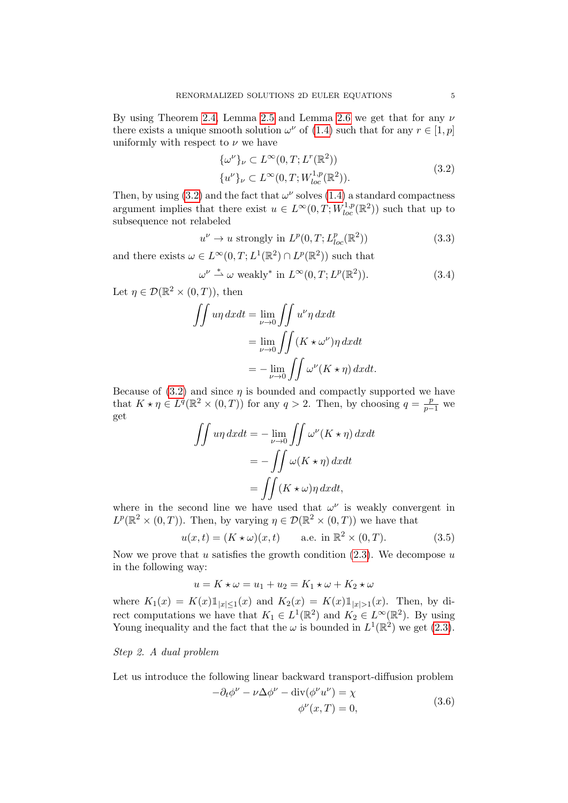By using Theorem [2.4,](#page-3-1) Lemma [2.5](#page-3-2) and Lemma [2.6](#page-3-3) we get that for any  $\nu$ there exists a unique smooth solution  $\omega^{\nu}$  of [\(1.4\)](#page-0-2) such that for any  $r \in [1, p]$ uniformly with respect to  $\nu$  we have

<span id="page-4-0"></span>
$$
\{\omega^{\nu}\}_{\nu} \subset L^{\infty}(0, T; L^{r}(\mathbb{R}^{2})) \n\{u^{\nu}\}_{\nu} \subset L^{\infty}(0, T; W_{loc}^{1, p}(\mathbb{R}^{2})).
$$
\n(3.2)

Then, by using [\(3.2\)](#page-4-0) and the fact that  $\omega^{\nu}$  solves [\(1.4\)](#page-0-2) a standard compactness argument implies that there exist  $u \in L^{\infty}(0,T;W_{loc}^{1,p}(\mathbb{R}^2))$  such that up to subsequence not relabeled

<span id="page-4-1"></span>
$$
u^{\nu} \to u \text{ strongly in } L^{p}(0,T; L^{p}_{loc}(\mathbb{R}^{2}))
$$
\n(3.3)

and there exists  $\omega \in L^{\infty}(0,T; L^{1}(\mathbb{R}^{2}) \cap L^{p}(\mathbb{R}^{2}))$  such that

<span id="page-4-3"></span>
$$
\omega^{\nu} \stackrel{*}{\rightharpoonup} \omega \text{ weakly* in } L^{\infty}(0, T; L^{p}(\mathbb{R}^{2})).
$$
\n(3.4)

Let  $\eta \in \mathcal{D}(\mathbb{R}^2 \times (0,T))$ , then

$$
\iint u\eta \, dxdt = \lim_{\nu \to 0} \iint u^{\nu} \eta \, dxdt
$$

$$
= \lim_{\nu \to 0} \iint (K \star \omega^{\nu}) \eta \, dxdt
$$

$$
= - \lim_{\nu \to 0} \iint \omega^{\nu} (K \star \eta) \, dxdt.
$$

Because of  $(3.2)$  and since  $\eta$  is bounded and compactly supported we have that  $K \star \eta \in L^q(\mathbb{R}^2 \times (0,T))$  for any  $q > 2$ . Then, by choosing  $q = \frac{p}{p-1}$  we get

$$
\iint u\eta \, dxdt = -\lim_{\nu \to 0} \iint \omega^{\nu} (K \star \eta) \, dxdt
$$

$$
= -\iint \omega (K \star \eta) \, dxdt
$$

$$
= \iint (K \star \omega) \eta \, dxdt,
$$

where in the second line we have used that  $\omega^{\nu}$  is weakly convergent in  $L^p(\mathbb{R}^2\times(0,T))$ . Then, by varying  $\eta\in\mathcal{D}(\mathbb{R}^2\times(0,T))$  we have that

$$
u(x,t) = (K \star \omega)(x,t) \qquad \text{a.e. in } \mathbb{R}^2 \times (0,T). \tag{3.5}
$$

Now we prove that u satisfies the growth condition  $(2.3)$ . We decompose u in the following way:

$$
u = K \star \omega = u_1 + u_2 = K_1 \star \omega + K_2 \star \omega
$$

where  $K_1(x) = K(x) 1_{|x| \leq 1}(x)$  and  $K_2(x) = K(x) 1_{|x| > 1}(x)$ . Then, by direct computations we have that  $K_1 \in L^1(\mathbb{R}^2)$  and  $K_2 \in L^\infty(\mathbb{R}^2)$ . By using Young inequality and the fact that the  $\omega$  is bounded in  $L^1(\mathbb{R}^2)$  we get [\(2.3\)](#page-2-4).

Step 2. A dual problem

Let us introduce the following linear backward transport-diffusion problem

<span id="page-4-2"></span>
$$
-\partial_t \phi^{\nu} - \nu \Delta \phi^{\nu} - \text{div}(\phi^{\nu} u^{\nu}) = \chi \phi^{\nu}(x, T) = 0,
$$
\n(3.6)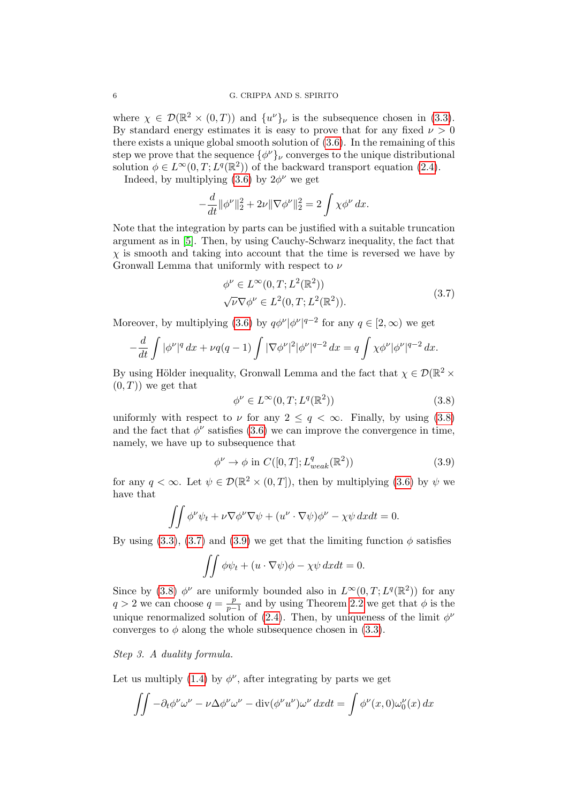where  $\chi \in \mathcal{D}(\mathbb{R}^2 \times (0,T))$  and  $\{u^{\nu}\}_{\nu}$  is the subsequence chosen in [\(3.3\)](#page-4-1). By standard energy estimates it is easy to prove that for any fixed  $\nu > 0$ there exists a unique global smooth solution of [\(3.6\)](#page-4-2). In the remaining of this step we prove that the sequence  $\{\phi^{\nu}\}_{\nu}$  converges to the unique distributional solution  $\phi \in L^{\infty}(0,T; L^{q}(\mathbb{R}^{2}))$  of the backward transport equation [\(2.4\)](#page-3-4).

Indeed, by multiplying  $(3.6)$  by  $2\phi^{\nu}$  we get

$$
-\frac{d}{dt} \|\phi^{\nu}\|_{2}^{2} + 2\nu \|\nabla \phi^{\nu}\|_{2}^{2} = 2 \int \chi \phi^{\nu} dx.
$$

Note that the integration by parts can be justified with a suitable truncation argument as in [\[5\]](#page-7-1). Then, by using Cauchy-Schwarz inequality, the fact that  $\chi$  is smooth and taking into account that the time is reversed we have by Gronwall Lemma that uniformly with respect to  $\nu$ 

<span id="page-5-1"></span>
$$
\phi^{\nu} \in L^{\infty}(0, T; L^{2}(\mathbb{R}^{2}))
$$
  

$$
\sqrt{\nu} \nabla \phi^{\nu} \in L^{2}(0, T; L^{2}(\mathbb{R}^{2})).
$$
 (3.7)

Moreover, by multiplying [\(3.6\)](#page-4-2) by  $q\phi^{\nu}|\phi^{\nu}|^{q-2}$  for any  $q \in [2,\infty)$  we get

$$
-\frac{d}{dt}\int |\phi^{\nu}|^{q} dx + \nu q(q-1)\int |\nabla \phi^{\nu}|^{2} |\phi^{\nu}|^{q-2} dx = q \int \chi \phi^{\nu} |\phi^{\nu}|^{q-2} dx.
$$

By using Hölder inequality, Gronwall Lemma and the fact that  $\chi \in \mathcal{D}(\mathbb{R}^2 \times$  $(0, T)$  we get that

<span id="page-5-0"></span>
$$
\phi^{\nu} \in L^{\infty}(0, T; L^{q}(\mathbb{R}^{2}))
$$
\n(3.8)

uniformly with respect to  $\nu$  for any  $2 \leq q < \infty$ . Finally, by using [\(3.8\)](#page-5-0) and the fact that  $\phi^{\nu}$  satisfies [\(3.6\)](#page-4-2) we can improve the convergence in time, namely, we have up to subsequence that

<span id="page-5-2"></span>
$$
\phi^{\nu} \to \phi \text{ in } C([0, T]; L_{weak}^q(\mathbb{R}^2))
$$
\n(3.9)

for any  $q < \infty$ . Let  $\psi \in \mathcal{D}(\mathbb{R}^2 \times (0,T])$ , then by multiplying [\(3.6\)](#page-4-2) by  $\psi$  we have that

$$
\iint \phi^{\nu} \psi_t + \nu \nabla \phi^{\nu} \nabla \psi + (u^{\nu} \cdot \nabla \psi) \phi^{\nu} - \chi \psi \, dx dt = 0.
$$

By using [\(3.3\)](#page-4-1), [\(3.7\)](#page-5-1) and [\(3.9\)](#page-5-2) we get that the limiting function  $\phi$  satisfies

$$
\iint \phi \psi_t + (u \cdot \nabla \psi) \phi - \chi \psi \, dx dt = 0.
$$

Since by [\(3.8\)](#page-5-0)  $\phi^{\nu}$  are uniformly bounded also in  $L^{\infty}(0,T;L^{q}(\mathbb{R}^{2}))$  for any  $q > 2$  we can choose  $q = \frac{p}{n-2}$  $\frac{p}{p-1}$  and by using Theorem [2.2](#page-2-1) we get that  $\phi$  is the unique renormalized solution of [\(2.4\)](#page-3-4). Then, by uniqueness of the limit  $\phi^{\nu}$ converges to  $\phi$  along the whole subsequence chosen in [\(3.3\)](#page-4-1).

Step 3. A duality formula.

Let us multiply [\(1.4\)](#page-0-2) by  $\phi^{\nu}$ , after integrating by parts we get

$$
\iint -\partial_t \phi^\nu \omega^\nu - \nu \Delta \phi^\nu \omega^\nu - \operatorname{div}(\phi^\nu u^\nu) \omega^\nu dx dt = \int \phi^\nu(x,0) \omega_0^\nu(x) dx
$$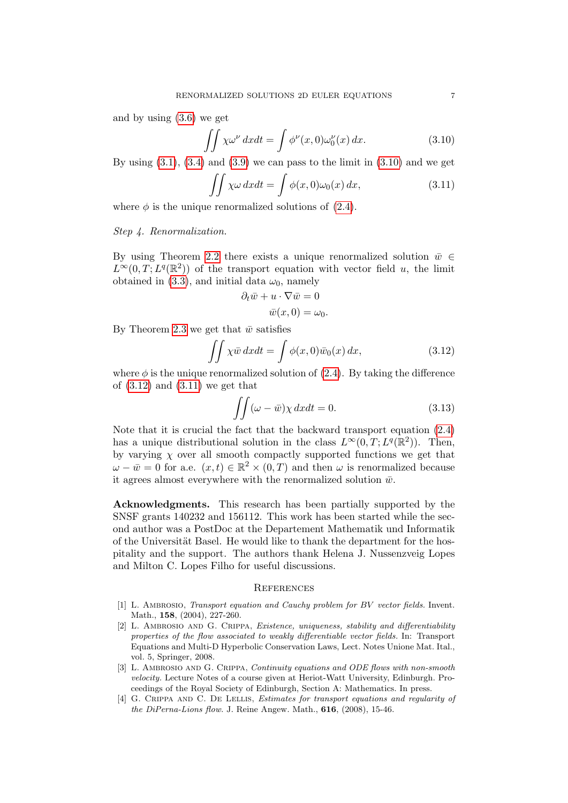and by using [\(3.6\)](#page-4-2) we get

<span id="page-6-4"></span>
$$
\iint \chi \omega^{\nu} dx dt = \int \phi^{\nu}(x, 0) \omega_0^{\nu}(x) dx.
$$
 (3.10)

By using  $(3.1)$ ,  $(3.4)$  and  $(3.9)$  we can pass to the limit in  $(3.10)$  and we get

<span id="page-6-6"></span>
$$
\iint \chi \omega \, dx dt = \int \phi(x, 0) \omega_0(x) \, dx,\tag{3.11}
$$

where  $\phi$  is the unique renormalized solutions of [\(2.4\)](#page-3-4).

Step 4. Renormalization.

By using Theorem [2.2](#page-2-1) there exists a unique renormalized solution  $\bar{w} \in$  $L^{\infty}(0,T;L^{q}(\mathbb{R}^{2}))$  of the transport equation with vector field u, the limit obtained in [\(3.3\)](#page-4-1), and initial data  $\omega_0$ , namely

$$
\partial_t \bar{w} + u \cdot \nabla \bar{w} = 0
$$

$$
\bar{w}(x, 0) = \omega_0.
$$

By Theorem [2.3](#page-3-6) we get that  $\bar{w}$  satisfies

<span id="page-6-5"></span>
$$
\iint \chi \bar{w} \, dxdt = \int \phi(x,0)\bar{w}_0(x) \, dx,\tag{3.12}
$$

where  $\phi$  is the unique renormalized solution of [\(2.4\)](#page-3-4). By taking the difference of  $(3.12)$  and  $(3.11)$  we get that

$$
\iint (\omega - \bar{w}) \chi \, dx dt = 0. \tag{3.13}
$$

Note that it is crucial the fact that the backward transport equation [\(2.4\)](#page-3-4) has a unique distributional solution in the class  $L^{\infty}(0,T;L^{q}(\mathbb{R}^{2}))$ . Then, by varying  $\chi$  over all smooth compactly supported functions we get that  $\omega - \bar{w} = 0$  for a.e.  $(x, t) \in \mathbb{R}^2 \times (0, T)$  and then  $\omega$  is renormalized because it agrees almost everywhere with the renormalized solution  $\bar{w}$ .

Acknowledgments. This research has been partially supported by the SNSF grants 140232 and 156112. This work has been started while the second author was a PostDoc at the Departement Mathematik und Informatik of the Universität Basel. He would like to thank the department for the hospitality and the support. The authors thank Helena J. Nussenzveig Lopes and Milton C. Lopes Filho for useful discussions.

#### **REFERENCES**

- <span id="page-6-0"></span>[1] L. AMBROSIO, *Transport equation and Cauchy problem for BV vector fields*. Invent. Math., 158, (2004), 227-260.
- <span id="page-6-2"></span>[2] L. Ambrosio and G. Crippa, Existence, uniqueness, stability and differentiability properties of the flow associated to weakly differentiable vector fields. In: Transport Equations and Multi-D Hyperbolic Conservation Laws, Lect. Notes Unione Mat. Ital., vol. 5, Springer, 2008.
- <span id="page-6-3"></span>[3] L. AMBROSIO AND G. CRIPPA, Continuity equations and ODE flows with non-smooth velocity. Lecture Notes of a course given at Heriot-Watt University, Edinburgh. Proceedings of the Royal Society of Edinburgh, Section A: Mathematics. In press.
- <span id="page-6-1"></span>[4] G. CRIPPA AND C. DE LELLIS, *Estimates for transport equations and regularity of* the DiPerna-Lions flow. J. Reine Angew. Math., 616, (2008), 15-46.